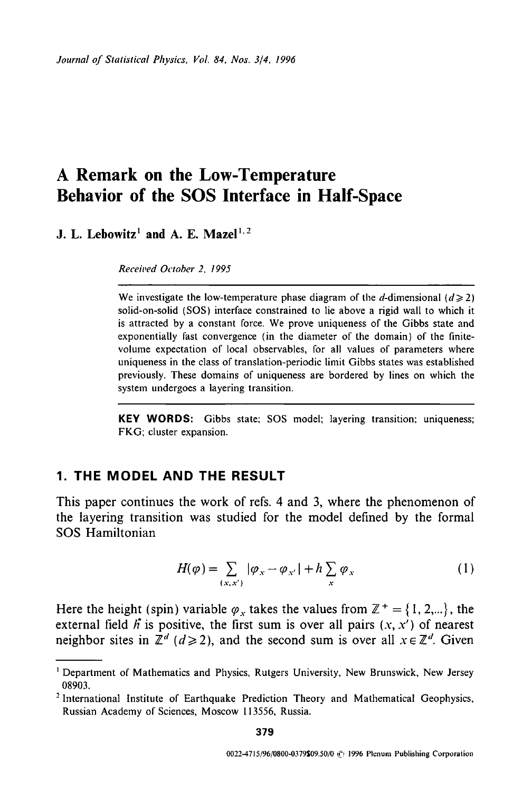# **A Remark on the Low-Temperature Behavior of the SOS Interface in Half-Space**

**J. L. Lebowitz<sup>1</sup> and A. E. Mazel<sup>1, 2</sup>** 

*Received October 2. 1995* 

We investigate the low-temperature phase diagram of the d-dimensional  $(d \ge 2)$ solid-on-solid (SOS) interface constrained to lie above a rigid wall to which it is attracted by a constant force. We prove uniqueness of the Gibbs state and exponentially fast convergence (in the diameter of the domain) of the finitevolume expectation of local observables, for all values of parameters where uniqueness in the class of translation-periodic limit Gibbs states was established previously. These domains of uniqueness are bordered by lines on which the system undergoes a layering transition.

**KEY WORDS:** Gibbs state; SOS model; layering transition; uniqueness; FKG; cluster expansion.

### **1. THE MODEL AND THE RESULT**

**This paper continues the work of refs. 4 and 3, where the phenomenon of the layering transition was studied for the model defined by the formal SOS Hamiltonian** 

$$
H(\varphi) = \sum_{(x,x')} |\varphi_x - \varphi_{x'}| + h \sum_x \varphi_x \tag{1}
$$

Here the height (spin) variable  $\varphi_x$  takes the values from  $\mathbb{Z}^+ = \{1, 2, ...\}$ , the external field  $\hat{h}$  is positive, the first sum is over all pairs  $(x, x')$  of nearest neighbor sites in  $\mathbb{Z}^d$  ( $d \ge 2$ ), and the second sum is over all  $x \in \mathbb{Z}^d$ . Given

Department of Mathematics and Physics, Rutgers University, New Brunswick, New Jersey 08903.

<sup>&</sup>lt;sup>2</sup> International Institute of Earthquake Prediction Theory and Mathematical Geophysics, Russian Academy of Sciences, Moscow 113556, Russia.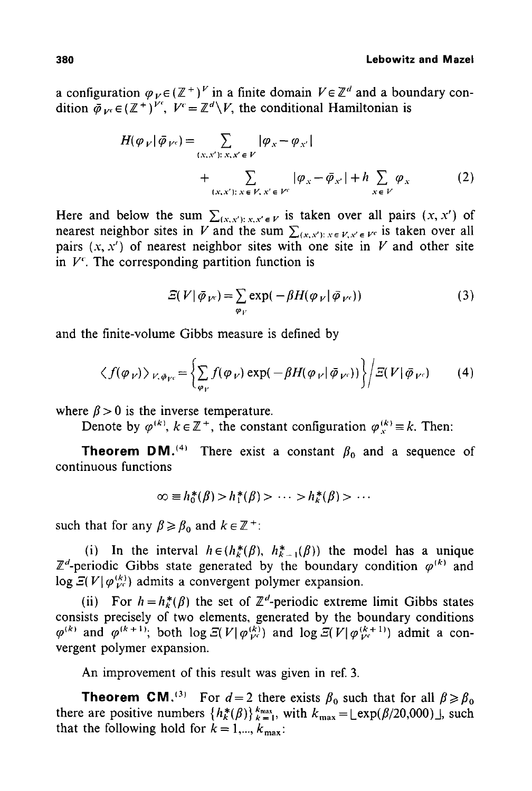#### 380 **Lebowitz and** Mazel

a configuration  $\varphi_V \in (\mathbb{Z}^+)^V$  in a finite domain  $V \in \mathbb{Z}^d$  and a boundary condition  $\overline{\phi}_{V} \in (\mathbb{Z}^+)^{V^c}$ ,  $V^c = \mathbb{Z}^d \backslash V$ , the conditional Hamiltonian is

$$
H(\varphi_V|\bar{\varphi}_{V^c}) = \sum_{(x,x'):\,x,x'\in V} |\varphi_x - \varphi_{x'}|
$$
  
+ 
$$
\sum_{(x,x'):\,x\in V,\,x'\in V^c} |\varphi_x - \bar{\varphi}_{x'}| + h \sum_{x\in V} \varphi_x
$$
 (2)

Here and below the sum  $\sum_{(x,x'):\,x,x'\in V}$  is taken over all pairs  $(x,x')$  of nearest neighbor sites in V and the sum  $\sum_{(x,x'):\,x\in V, x'\in V'}$  is taken over all pairs  $(x, x')$  of nearest neighbor sites with one site in V and other site in  $V<sup>c</sup>$ . The corresponding partition function is

$$
\mathcal{Z}(V|\bar{\varphi}_{V^c}) = \sum_{\varphi_V} \exp(-\beta H(\varphi_V|\bar{\varphi}_{V^c}))
$$
\n(3)

and the finite-volume Gibbs measure is defined by

$$
\langle f(\varphi_{V}) \rangle_{V, \bar{\varphi}_{V}} = \left\{ \sum_{\varphi_{V}} f(\varphi_{V}) \exp(-\beta H(\varphi_{V} | \bar{\varphi}_{V})) \right\} / \Xi(V | \bar{\varphi}_{V'}) \qquad (4)
$$

where  $\beta > 0$  is the inverse temperature.

Denote by  $\varphi^{(k)}$ ,  $k \in \mathbb{Z}^+$ , the constant configuration  $\varphi^{(k)}_{k} \equiv k$ . Then:

**Theorem DM.<sup>(4)</sup>** There exist a constant  $\beta_0$  and a sequence of continuous functions

$$
\infty \equiv h_0^*(\beta) > h_1^*(\beta) > \cdots > h_k^*(\beta) > \cdots
$$

such that for any  $\beta \geq \beta_0$  and  $k \in \mathbb{Z}^+$ :

(i) In the interval  $h \in (h^*_{\kappa}(\beta), h^*_{\kappa-1}(\beta))$  the model has a unique  $\mathbb{Z}^d$ -periodic Gibbs state generated by the boundary condition  $\varphi^{(k)}$  and  $\log \mathcal{Z}(V|\varphi_{Vc}^{(k)})$  admits a convergent polymer expansion.

(ii) For  $h = h^*_{k}(\beta)$  the set of  $\mathbb{Z}^d$ -periodic extreme limit Gibbs states consists precisely of two elements, generated by the boundary conditions  $(\varphi^{(k)}$  and  $(\varphi^{(k+1)})$ ; both  $\log \mathcal{Z}(V|\varphi^{(k)}_{Vc})$  and  $\log \mathcal{Z}(V|\varphi^{(k+1)}_{Vc})$  admit a convergent polymer expansion.

An improvement of this result was given in ref. 3.

**Theorem CM.**<sup>(3)</sup> For  $d=2$  there exists  $\beta_0$  such that for all  $\beta \ge \beta_0$ there are positive numbers  $\{h^*_k(\beta)\}_{k=1}^{k_{\text{max}}}$ , with  $k_{\text{max}} = \lfloor \exp(\beta/20,000) \rfloor$ , such that the following hold for  $k = 1, ..., k_{\text{max}}$ :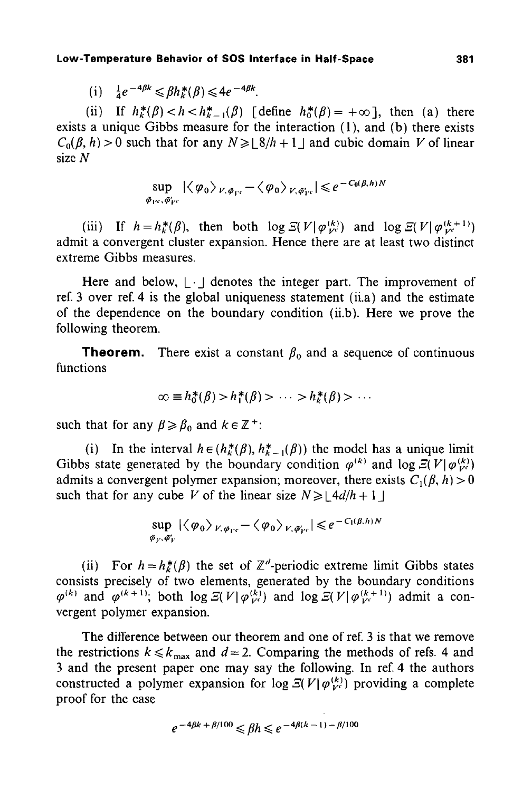(i) 
$$
\frac{1}{4}e^{-4\beta k} \leq \beta h_k^*(\beta) \leq 4e^{-4\beta k}
$$
.

(ii) If  $h^*_{k}(\beta) < h < h^*_{k-1}(\beta)$  [define  $h^*_{0}(\beta) = +\infty$ ], then (a) there exists a unique Gibbs measure for the interaction (1), and (b) there exists  $C_0(\beta, h) > 0$  such that for any  $N \geq \lfloor \frac{8}{h} + 1 \rfloor$  and cubic domain V of linear size N

$$
\sup_{\bar{\varphi}_{\Gamma^c},\bar{\varphi}_{\Gamma^c}} |\langle \varphi_0 \rangle_{V,\bar{\varphi}_{\Gamma^c}} - \langle \varphi_0 \rangle_{V,\bar{\varphi}_{\Gamma^c}}| \leq e^{-C_0(\beta,h)N}
$$

(iii) If  $h=h_k^*(\beta)$ , then both  $\log \mathcal{Z}(V|\varphi_{V^c}^{(k)})$  and  $\log \mathcal{Z}(V|\varphi_{V^c}^{(k+1)})$ admit a convergent cluster expansion. Hence there are at least two distinct extreme Gibbs measures.

Here and below,  $|\cdot|$  denotes the integer part. The improvement of ref. 3 over ref. 4 is the global uniqueness statement (ii.a) and the estimate of the dependence on the boundary condition (ii.b). Here we prove the following theorem.

**Theorem.** There exist a constant  $\beta_0$  and a sequence of continuous functions

$$
\infty \equiv h_0^*(\beta) > h_1^*(\beta) > \cdots > h_k^*(\beta) > \cdots
$$

such that for any  $\beta \ge \beta_0$  and  $k \in \mathbb{Z}^+$ :

(i) In the interval  $h \in (h^*_{k}(\beta), h^*_{k-1}(\beta))$  the model has a unique limit Gibbs state generated by the boundary condition  $\varphi^{(k)}$  and log  $\mathcal{E}(V|\varphi_{V}^{(k)})$ admits a convergent polymer expansion; moreover, there exists  $C_1(\beta, h) > 0$ such that for any cube V of the linear size  $N \geq 14d/h + 1$ 

$$
\sup_{\bar{\varphi}_{V},\bar{\varphi}_{V}'} |\langle \varphi_0 \rangle_{V, \bar{\varphi}_{V^c}} - \langle \varphi_0 \rangle_{V, \bar{\varphi}_{V^c}'}| \leq e^{-C_1(\beta, h)N}
$$

(ii) For  $h=h^*_{k}(\beta)$  the set of  $\mathbb{Z}^d$ -periodic extreme limit Gibbs states consists precisely of two elements, generated by the boundary conditions  $\varphi^{(k)}$  and  $\varphi^{(k+1)}$ ; both log  $\mathcal{Z}(V|\varphi_{Vc}^{(k)})$  and log  $\mathcal{Z}(V|\varphi_{Vc}^{(k+1)})$  admit a convergent polymer expansion.

The difference between our theorem and one of ref. 3 is that we remove the restrictions  $k \leq k_{\text{max}}$  and  $d = 2$ . Comparing the methods of refs. 4 and 3 and the present paper one may say the following. In ref. 4 the authors constructed a polymer expansion for  $\log \mathcal{Z}(V|\varphi_{V_{\epsilon}}^{(k)})$  providing a complete proof for the case

$$
e^{-4\beta k + \beta/100} \leq \beta h \leq e^{-4\beta(k-1) - \beta/100}
$$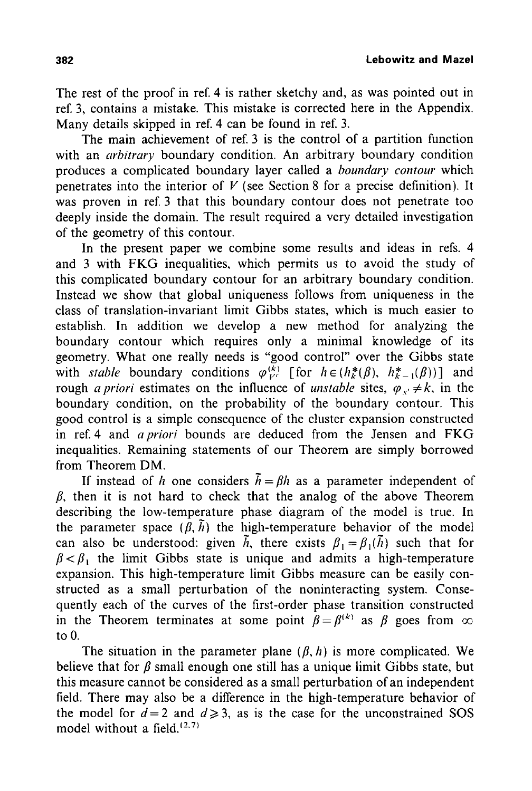**382 Lebowitz and Mazel** 

The rest of the proof in ref. 4 is rather sketchy and, as was pointed out in ref. 3, contains a mistake. This mistake is corrected here in the Appendix. Many details skipped in ref. 4 can be found in ref. 3.

The main achievement of ref. 3 is the control of a partition function with an *arbitrary* boundary condition. An arbitrary boundary condition produces a complicated boundary layer called a *boundary contour* which penetrates into the interior of  $V$  (see Section 8 for a precise definition). It was proven in ref. 3 that this boundary contour does not penetrate too deeply inside the domain. The result required a very detailed investigation of the geometry of this contour.

In the present paper we combine some results and ideas in refs. 4 and 3 with FKG inequalities, which permits us to avoid the study of this complicated boundary contour for an arbitrary boundary condition. Instead we show that global uniqueness follows from uniqueness in the class of translation-invariant limit Gibbs states, which is much easier to establish. In addition we develop a new method for analyzing the boundary contour which requires only a minimal knowledge of its geometry. What one really needs is "good control" over the Gibbs state with *stable* boundary conditions  $\varphi_{V^c}^{(k)}$  [for  $h \in (h_k^*(\beta), h_{k-1}^*(\beta))$ ] and rough *a priori* estimates on the influence of *unstable* sites,  $\varphi$ ,  $\neq k$ , in the boundary condition, on the probability of the boundary contour. This good control is a simple consequence of the cluster expansion constructed in ref. 4 and *a priori* bounds are deduced from the Jensen and FKG inequalities. Remaining statements of our Theorem are simply borrowed from Theorem DM.

If instead of h one considers  $\tilde{h} = \beta h$  as a parameter independent of  $\beta$ , then it is not hard to check that the analog of the above Theorem describing the low-temperature phase diagram of the model is true. In the parameter space  $(\beta, \tilde{h})$  the high-temperature behavior of the model can also be understood: given  $\tilde{h}$ , there exists  $\beta_1 = \beta_1(\tilde{h})$  such that for  $\beta < \beta_1$  the limit Gibbs state is unique and admits a high-temperature expansion. This high-temperature limit Gibbs measure can be easily constructed as a small perturbation of the noninteracting system. Consequently each of the curves of the first-order phase transition constructed in the Theorem terminates at some point  $\beta = \beta^{(k)}$  as  $\beta$  goes from  $\infty$ to 0.

The situation in the parameter plane  $(\beta, h)$  is more complicated. We believe that for  $\beta$  small enough one still has a unique limit Gibbs state, but this measure cannot be considered as a small perturbation of an independent field. There may also be a difference in the high-temperature behavior of the model for  $d=2$  and  $d\ge 3$ , as is the case for the unconstrained SOS model without a field. $(2,7)$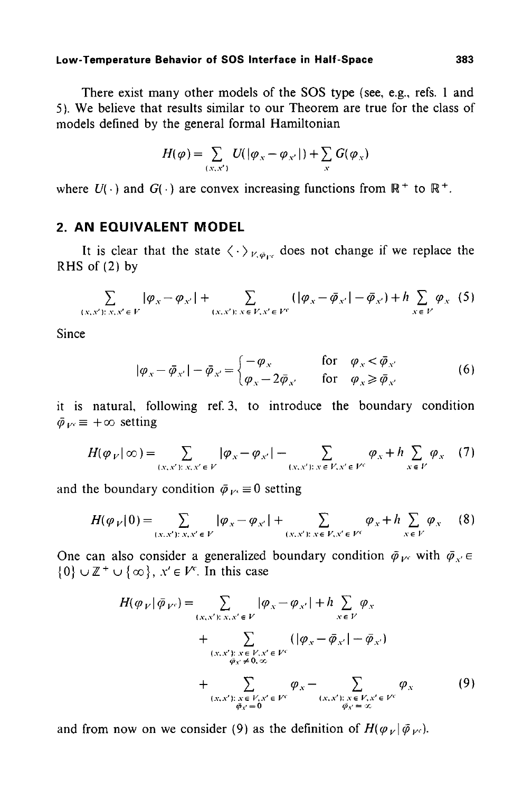There exist many other models of the SOS type (see, e.g., refs. 1 and 5). We believe that results similar to our Theorem are true for the class of models defined by the general formal Hamiltonian

$$
H(\varphi) = \sum_{(x,x')} U(|\varphi_x - \varphi_{x'}|) + \sum_x G(\varphi_x)
$$

where  $U(\cdot)$  and  $G(\cdot)$  are convex increasing functions from  $\mathbb{R}^+$  to  $\mathbb{R}^+$ .

# **2. AN EQUIVALENT MODEL**

It is clear that the state  $\langle \cdot \rangle_{V, \phi_{\text{ref}}}$  does not change if we replace the RHS of (2) by

$$
\sum_{(x,x') \colon x,x' \in V} |\varphi_x - \varphi_{x'}| + \sum_{(x,x') \colon x \in V, x' \in V^c} (|\varphi_x - \bar{\varphi}_{x'}| - \bar{\varphi}_{x'}) + h \sum_{x \in V} \varphi_x (5)
$$

Since

$$
|\varphi_{x} - \bar{\varphi}_{x'}| - \bar{\varphi}_{x'} =\begin{cases} -\varphi_{x} & \text{for } \varphi_{x} < \bar{\varphi}_{x'} \\ \varphi_{x} - 2\bar{\varphi}_{x'} & \text{for } \varphi_{x} \geq \bar{\varphi}_{x'} \end{cases}
$$
(6)

it is natural, following ref. 3, to introduce the boundary condition  $\bar{\varphi}_{V} \equiv +\infty$  setting

$$
H(\varphi_V|\infty) = \sum_{(x,x'): x, x' \in V} |\varphi_x - \varphi_{x'}| - \sum_{(x,x'): x \in V, x' \in V^c} \varphi_x + h \sum_{x \in V} \varphi_x
$$
 (7)

and the boundary condition  $\bar{\varphi}_{V} \equiv 0$  setting

$$
H(\varphi_{V}|0) = \sum_{(x,x'):\,x,x'\in V} |\varphi_{x} - \varphi_{x'}| + \sum_{(x,x'):\,x\in V, x'\in V'} \varphi_{x} + h \sum_{x\in V} \varphi_{x}
$$
(8)

One can also consider a generalized boundary condition  $\bar{\varphi}_{V}$  with  $\bar{\varphi}_{V} \in$  $\{0\} \cup \mathbb{Z}^+ \cup \{\infty\}, x' \in V^c$ . In this case

$$
H(\varphi_V|\bar{\varphi}_{V^c}) = \sum_{(x,x'):\ x,x'\in V} |\varphi_x - \varphi_{x'}| + h \sum_{x \in V} \varphi_x
$$
  
+ 
$$
\sum_{(x,x'):\ x \in V, x' \in V^c} (|\varphi_x - \bar{\varphi}_{x'}| - \bar{\varphi}_{x'})
$$
  
+ 
$$
\sum_{(x,x'):\ x \in V, x' \in V^c} \varphi_x - \sum_{(x,x'):\ x \in V, x' \in V^c} \varphi_x
$$
  
+ 
$$
\sum_{(x,x'):\ x \in V, x' \in V^c} \varphi_x - \sum_{(x,x'):\ x \in V, x' \in V^c} \varphi_x
$$
  
(9)

and from now on we consider (9) as the definition of  $H(\varphi_V|\bar{\varphi}_{V^c})$ .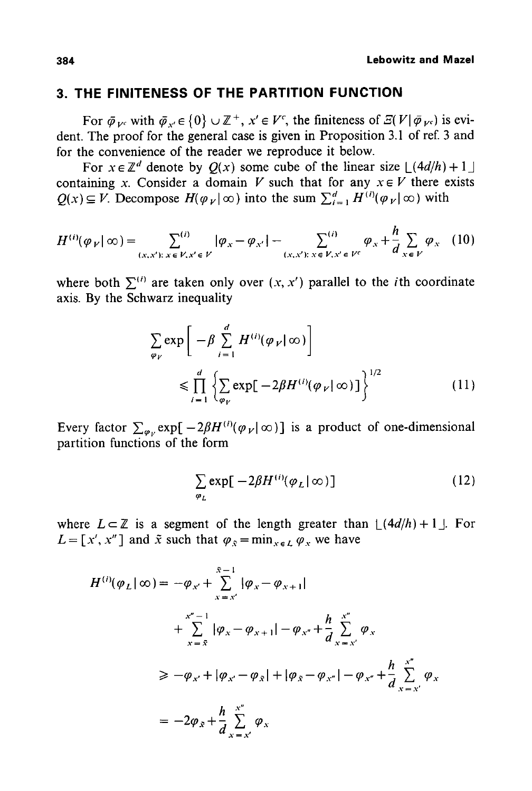# **3. THE FINITENESS OF THE PARTITION FUNCTION**

For  $\bar{\varphi}_{V^c}$  with  $\bar{\varphi}_{V^c} \in \{0\} \cup \mathbb{Z}^+, x' \in V^c$ , the finiteness of  $\mathcal{Z}(V|\bar{\varphi}_{V^c})$  is evident. The proof for the general case is given in Proposition 3.1 of ref. 3 and for the convenience of the reader we reproduce it below.

For  $x \in \mathbb{Z}^d$  denote by  $Q(x)$  some cube of the linear size  $\lfloor (4d/h) + 1 \rfloor$ containing x. Consider a domain V such that for any  $x \in V$  there exists  $Q(x) \subseteq V$ . Decompose  $H(\varphi_{V} | \infty)$  into the sum  $\sum_{i=1}^{d} H^{(i)}(\varphi_{V} | \infty)$  with

$$
H^{(i)}(\varphi_V | \infty) = \sum_{(x,x'):\ x \in V, x' \in V} |\varphi_x - \varphi_{x'}| - \sum_{(x,x'):\ x \in V, x' \in V^c} \varphi_x + \frac{h}{d} \sum_{x \in V} \varphi_x \tag{10}
$$

where both  $\Sigma^{(i)}$  are taken only over  $(x, x')$  parallel to the *i*th coordinate axis. By the Schwarz inequality

$$
\sum_{\varphi_V} \exp \left[ -\beta \sum_{i=1}^d H^{(i)}(\varphi_V | \infty) \right]
$$
  

$$
\leq \prod_{i=1}^d \left\{ \sum_{\varphi_V} \exp \left[ -2\beta H^{(i)}(\varphi_V | \infty) \right] \right\}^{1/2}
$$
 (11)

Every factor  $\sum_{\varphi_{\nu}} \exp[-2\beta H^{(i)}(\varphi_{\nu}|\infty)]$  is a product of one-dimensional partition functions of the form

$$
\sum_{\varphi_L} \exp[-2\beta H^{(i)}(\varphi_L | \infty)] \tag{12}
$$

where  $L \subset \mathbb{Z}$  is a segment of the length greater than  $\lfloor (4d/h) + 1 \rfloor$ . For  $L = [x', x'']$  and  $\tilde{x}$  such that  $\varphi_{\tilde{x}} = \min_{x \in L} \varphi_x$  we have

$$
H^{(i)}(\varphi_L | \infty) = -\varphi_{x'} + \sum_{x = x'}^{x-1} |\varphi_x - \varphi_{x+1}|
$$
  
+ 
$$
\sum_{x = \bar{x}}^{x''-1} |\varphi_x - \varphi_{x+1}| - \varphi_{x''} + \frac{h}{d} \sum_{x = x'}^{x''} \varphi_x
$$
  

$$
\ge -\varphi_{x'} + |\varphi_{x'} - \varphi_{\bar{x}}| + |\varphi_{\bar{x}} - \varphi_{x''}| - \varphi_{x''} + \frac{h}{d} \sum_{x = x'}^{x''} \varphi_x
$$
  
= 
$$
-2\varphi_{\bar{x}} + \frac{h}{d} \sum_{x = x'}^{x''} \varphi_x
$$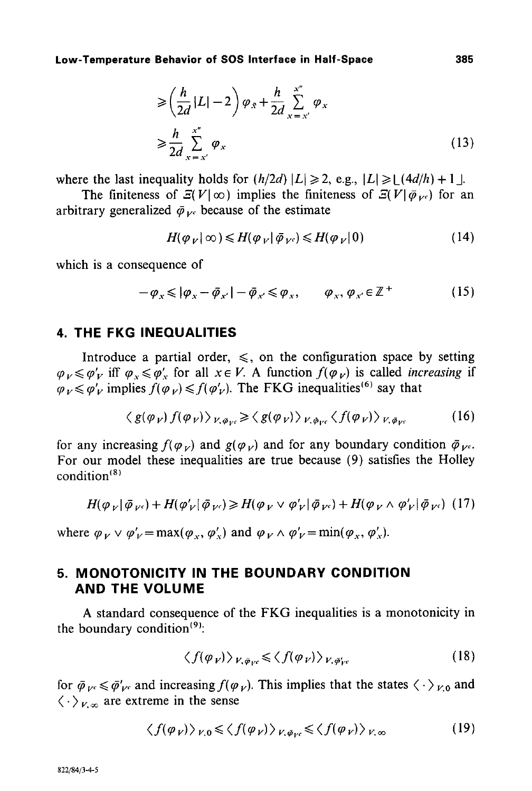$$
\geqslant \left(\frac{h}{2d}|L|-2\right)\varphi_{\bar{x}} + \frac{h}{2d}\sum_{x=x'}^{x''}\varphi_{x}
$$
\n
$$
\geqslant \frac{h}{2d}\sum_{x=x'}^{x''}\varphi_{x}
$$
\n(13)

where the last inequality holds for  $(h/2d)|L| \ge 2$ , e.g.,  $|L| \ge |(4d/h)+1|$ .

The finiteness of  $E(V|\infty)$  implies the finiteness of  $E(V|\bar{\phi}_{Vc})$  for an arbitrary generalized  $\bar{\varphi}_{Vc}$  because of the estimate

$$
H(\varphi_V | \infty) \le H(\varphi_V | \bar{\varphi}_{V^c}) \le H(\varphi_V | 0)
$$
\n(14)

which is a consequence of

$$
-\varphi_{\scriptscriptstyle X} \leqslant |\varphi_{\scriptscriptstyle X} - \bar{\varphi}_{\scriptscriptstyle X'}| - \bar{\varphi}_{\scriptscriptstyle X'} \leqslant \varphi_{\scriptscriptstyle X}, \qquad \varphi_{\scriptscriptstyle X}, \varphi_{\scriptscriptstyle X'} \in \mathbb{Z}^+ \tag{15}
$$

# **4. THE FKG INEQUALITIES**

Introduce a partial order,  $\leq$ , on the configuration space by setting  $\varphi_V \leq \varphi'_V$  iff  $\varphi_v \leq \varphi'_V$  for all  $x \in V$ . A function  $f(\varphi_V)$  is called *increasing* if  $\varphi_V \leq \varphi'_V$  implies  $f(\varphi_V) \leq f(\varphi'_V)$ . The FKG inequalities (6) say that

$$
\langle g(\varphi_V) f(\varphi_V) \rangle_{V, \bar{\varphi}_V, \epsilon} \ge \langle g(\varphi_V) \rangle_{V, \bar{\varphi}_V, \epsilon} \langle f(\varphi_V) \rangle_{V, \bar{\varphi}_V, \epsilon}
$$
(16)

for any increasing  $f(\varphi_{\nu})$  and  $g(\varphi_{\nu})$  and for any boundary condition  $\bar{\varphi}_{\nu}$ . For our model these inequalities are true because (9) satisfies the Holley condition (8)

$$
H(\varphi_V|\bar{\varphi}_{V^c}) + H(\varphi_V'|\bar{\varphi}_{V^c}) \ge H(\varphi_V \vee \varphi_V'|\bar{\varphi}_{V^c}) + H(\varphi_V \wedge \varphi_V'|\bar{\varphi}_{V^c}) \tag{17}
$$

where  $\varphi_V \vee \varphi'_V = \max(\varphi_v, \varphi'_v)$  and  $\varphi_V \wedge \varphi'_V = \min(\varphi_x, \varphi'_x)$ .

# **5. MONOTONICITY IN THE BOUNDARY CONDITION AND THE VOLUME**

A standard consequence of the FKG inequalities is a monotonicity in the boundary condition $(9)$ :

$$
\langle f(\varphi_V) \rangle_{V, \bar{\varphi}_{V} \leq \langle f(\varphi_V) \rangle_{V, \bar{\varphi}_{V}'}}
$$
 (18)

for  $\bar{\varphi}_{V^c} \leq \bar{\varphi}'_{V^c}$  and increasing  $f(\varphi_V)$ . This implies that the states  $\langle \cdot \rangle_{V,0}$  and  $\langle \cdot \rangle_{V,\infty}$  are extreme in the sense

$$
\langle f(\varphi_V) \rangle_{V,0} \le \langle f(\varphi_V) \rangle_{V,\varphi_{V} \le \langle f(\varphi_V) \rangle_{V,\infty}}
$$
 (19)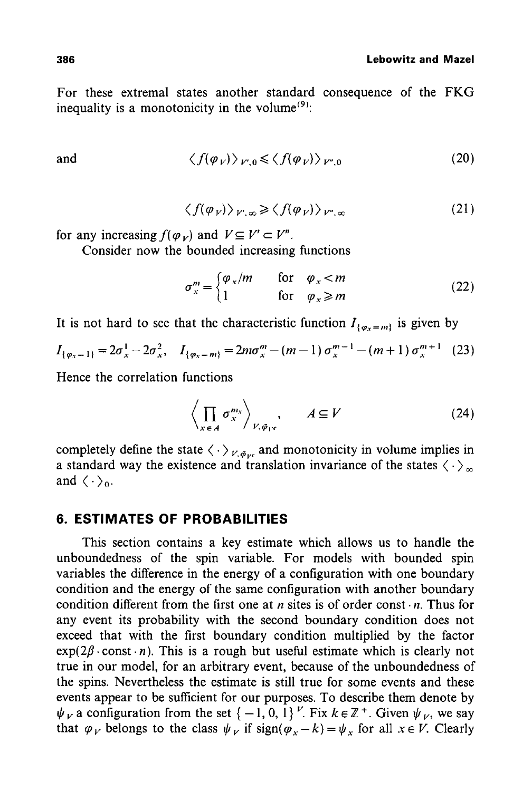For these extremal states another standard consequence of the FKG inequality is a monotonicity in the volume<sup> $(9)$ </sup>:

and 
$$
\langle f(\varphi_V) \rangle_{V',0} \le \langle f(\varphi_V) \rangle_{V'',0}
$$
 (20)

$$
\langle f(\varphi_V) \rangle_{V',\infty} \ge \langle f(\varphi_V) \rangle_{V'',\infty} \tag{21}
$$

for any increasing  $f(\varphi_V)$  and  $V \subseteq V' \subset V''$ .

Consider now the bounded increasing functions

$$
\sigma_x^m = \begin{cases} \varphi_x/m & \text{for } \varphi_x < m \\ 1 & \text{for } \varphi_x \ge m \end{cases}
$$
 (22)

It is not hard to see that the characteristic function  $I_{\{\varphi_x=m\}}$  is given by

$$
I_{\{\varphi_x=1\}}=2\sigma_x^1-2\sigma_x^2, \quad I_{\{\varphi_x=m\}}=2m\sigma_x^m-(m-1)\,\sigma_x^{m-1}-(m+1)\,\sigma_x^{m+1}\quad (23)
$$

Hence the correlation functions

$$
\left\langle \prod_{x \in A} \sigma_x^{m_x} \right\rangle_{V, \bar{\varphi}_{V^c}}, \qquad A \subseteq V \tag{24}
$$

completely define the state  $\langle \cdot \rangle_{V, \bar{\phi}_{Vc}}$  and monotonicity in volume implies in a standard way the existence and translation invariance of the states  $\langle \cdot \rangle_{\infty}$ and  $\langle \cdot \rangle_0$ .

### **6. ESTIMATES OF PROBABILITIES**

This section contains a key estimate which allows us to handle the unboundedness of the spin variable. For models with bounded spin variables the difference in the energy of a configuration with one boundary condition and the energy of the same configuration with another boundary condition different from the first one at *n* sites is of order const  $\cdot$ *n*. Thus for any event its probability with the second boundary condition does not exceed that with the first boundary condition multiplied by the factor  $exp(2\beta \cdot const \cdot n)$ . This is a rough but useful estimate which is clearly not true in our model, for an arbitrary event, because of the unboundedness of the spins. Nevertheless the estimate is still true for some events and these events appear to be sufficient for our purposes. To describe them denote by  $\psi_V$  a configuration from the set  $\{-1, 0, 1\}^V$ . Fix  $k \in \mathbb{Z}^+$ . Given  $\psi_V$ , we say that  $\varphi_V$  belongs to the class  $\psi_V$  if sign( $\varphi_x - k = \psi_x$  for all  $x \in V$ . Clearly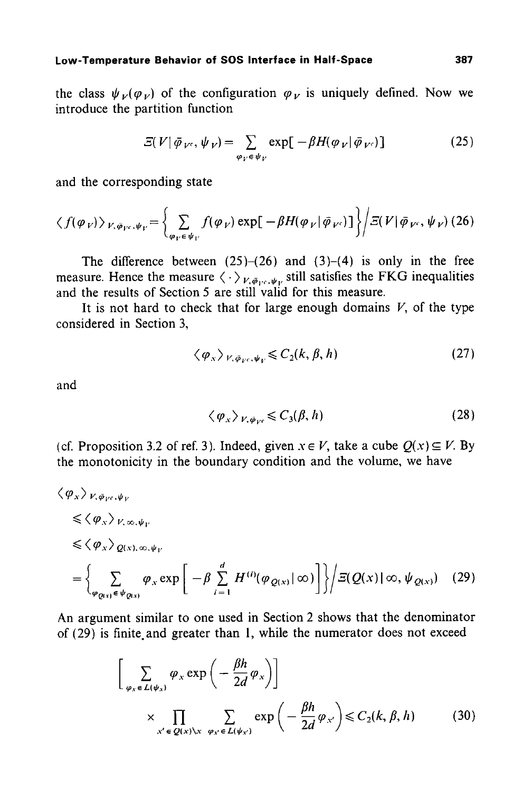the class  $\psi_V(\varphi_V)$  of the configuration  $\varphi_V$  is uniquely defined. Now we introduce the partition function

$$
\Xi(V|\bar{\varphi}_{V^c},\psi_V) = \sum_{\varphi_V \in \psi_V} \exp[-\beta H(\varphi_V|\bar{\varphi}_{V^c})]
$$
(25)

and the corresponding state

$$
\langle f(\varphi_V) \rangle_{V, \bar{\varphi}_{V^c}, \psi_V} = \left\{ \sum_{\varphi_V \in \psi_V} f(\varphi_V) \exp \left[ -\beta H(\varphi_V | \bar{\varphi}_{V^c}) \right] \right\} / \Xi(V | \bar{\varphi}_{V^c}, \psi_V) (26)
$$

The difference between  $(25)-(26)$  and  $(3)-(4)$  is only in the free measure. Hence the measure  $\langle \cdot \rangle_{V,\phi_{\text{rec}},\psi_{\nu}}$  still satisfies the FKG inequalities and the results of Section 5 are still valid for this measure.

It is not hard to check that for large enough domains  $V$ , of the type considered in Section 3,

$$
\langle \varphi_{x} \rangle_{V, \bar{\varphi}_{V}, \psi_{V}} \leqslant C_{2}(k, \beta, h) \tag{27}
$$

and

$$
\langle \varphi_{x} \rangle_{V, \varphi_{V} \leqslant C_{3}(\beta, h)}
$$
 (28)

(cf. Proposition 3.2 of ref. 3). Indeed, given  $x \in V$ , take a cube  $Q(x) \subseteq V$ . By the monotonicity in the boundary condition and the volume, we have

$$
\langle \varphi_{x} \rangle_{V, \varphi_{V^c}, \psi_V} \leq \langle \varphi_{x} \rangle_{V, \infty, \psi_V} \leq \langle \varphi_{x} \rangle_{Q(x), \infty, \psi_V} \leq \langle \varphi_{x} \rangle_{Q(x), \infty, \psi_V} \newline = \left\{ \sum_{\varphi_{Q(x)} \in \psi_{Q(x)}} \varphi_{x} \exp \left[ -\beta \sum_{i=1}^{d} H^{(i)}(\varphi_{Q(x)} | \infty) \right] \right\} \bigg/ \Xi(Q(x) | \infty, \psi_{Q(x)}) \quad (29)
$$

An argument similar to one used in Section 2 shows that the denominator of  $(29)$  is finite and greater than 1, while the numerator does not exceed

$$
\left[\sum_{\varphi_x \in L(\psi_x)} \varphi_x \exp\left(-\frac{\beta h}{2d} \varphi_x\right)\right]
$$
\n
$$
\times \prod_{x' \in Q(x) \setminus x} \sum_{\varphi_x \in L(\psi_x)} \exp\left(-\frac{\beta h}{2d} \varphi_{x'}\right) \leq C_2(k, \beta, h) \tag{30}
$$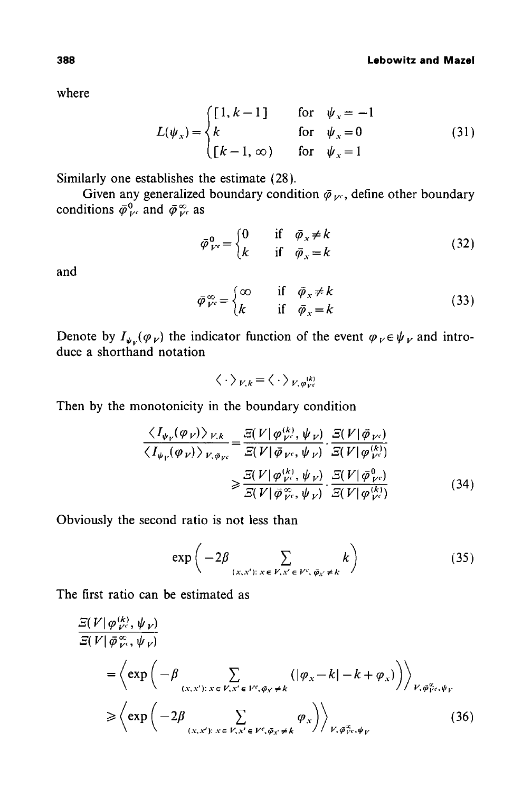where

$$
L(\psi_x) = \begin{cases} \begin{bmatrix} 1, k-1 \end{bmatrix} & \text{for} \quad \psi_x = -1\\ k & \text{for} \quad \psi_x = 0\\ \begin{bmatrix} k-1, \infty \end{bmatrix} & \text{for} \quad \psi_x = 1 \end{cases} \tag{31}
$$

Similarly one establishes the estimate (28).

Given any generalized boundary condition  $\bar{\varphi}_{\nu}$ , define other boundary conditions  $\bar{\varphi}_{V}^{0}$  and  $\bar{\varphi}_{V}^{\infty}$  as

$$
\bar{\varphi}_{V^c}^0 = \begin{cases} 0 & \text{if } \bar{\varphi}_x \neq k \\ k & \text{if } \bar{\varphi}_x = k \end{cases} \tag{32}
$$

and

$$
\bar{\varphi}_{V}^{\infty} = \begin{cases} \infty & \text{if } \bar{\varphi}_x \neq k \\ k & \text{if } \bar{\varphi}_x = k \end{cases}
$$
 (33)

Denote by  $I_{\psi_{\nu}}(\varphi_{V})$  the indicator function of the event  $\varphi_{V} \in \psi_{V}$  and introduce a shorthand notation

$$
\langle \cdot \rangle_{V,k} = \langle \cdot \rangle_{V,\varphi_{V}^{(k)}}
$$

Then by the monotonicity in the boundary condition

$$
\frac{\langle I_{\psi_V}(\varphi_V) \rangle_{V,k}}{\langle I_{\psi_V}(\varphi_V) \rangle_{V,\bar{\varphi}_{V^c}}} = \frac{\Xi(V|\varphi_{V^c}^{(k)}, \psi_V)}{\Xi(V|\bar{\varphi}_{V^c}, \psi_V)} \cdot \frac{\Xi(V|\bar{\varphi}_{V^c})}{\Xi(V|\varphi_{V^c}^{(k)})}
$$

$$
\geq \frac{\Xi(V|\varphi_{V^c}^{(k)}, \psi_V)}{\Xi(V|\bar{\varphi}_{V^c}^{\infty}, \psi_V)} \cdot \frac{\Xi(V|\bar{\varphi}_{V^c}^{0})}{\Xi(V|\varphi_{V^c}^{(k)})}
$$
(34)

Obviously the second ratio is not less than

$$
\exp\left(-2\beta \sum_{(x,x'):\ x \in V, x' \in V^c, \ \bar{\varphi}_{x'} \neq k} k\right) \tag{35}
$$

The first ratio can be estimated as

$$
\frac{\mathcal{Z}(V|\varphi_{V^c}^{(k)}, \psi_{V})}{\mathcal{Z}(V|\bar{\varphi}_{V^c}^{\infty}, \psi_{V})}
$$
\n
$$
= \left\langle \exp\left(-\beta \sum_{(x, x^i): x \in V, x^i \in V^c, \bar{\varphi}_x \neq k} \left(|\varphi_x - k| - k + \varphi_x\right)\right) \right\rangle_{V, \bar{\varphi}_{V^c}^{\infty}, \psi_V}
$$
\n
$$
\geq \left\langle \exp\left(-2\beta \sum_{(x, x^i): x \in V, x^i \in V^c, \bar{\varphi}_x \neq k} \varphi_x\right) \right\rangle_{V, \bar{\varphi}_{V^c}^{\infty}, \psi_V}
$$
\n(36)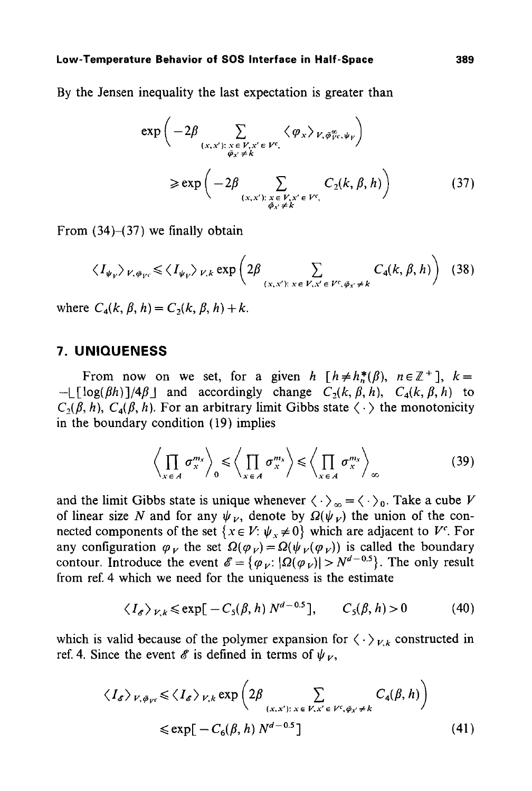By the Jensen inequality the last expectation is greater than

$$
\exp\left(-2\beta \sum_{\substack{(x,x'):\ x \in V, x' \in V^c, \\ \overline{\varphi}_{x'} \neq k}} \langle \varphi_x \rangle_{V, \overline{\varphi}_{V^c, \psi_V}^{\omega}}\right)
$$
\n
$$
\geq \exp\left(-2\beta \sum_{\substack{(x,x'):\ x \in V, x' \in V^c, \\ \overline{\varphi}_{x'} \neq k}} C_2(k, \beta, h)\right) \tag{37}
$$

From  $(34)$ – $(37)$  we finally obtain

$$
\langle I_{\psi_V} \rangle_{V, \bar{\varphi}_{V^c}} \le \langle I_{\psi_V} \rangle_{V, k} \exp \left( 2 \beta \sum_{(x, x') : x \in V, x' \in V^c, \bar{\varphi}_x' \ne k} C_4(k, \beta, h) \right) (38)
$$

where  $C_4(k, \beta, h) = C_2(k, \beta, h) + k$ .

### **7. UNIQUENESS**

From now on we set, for a given *h*  $[h \neq h_n^*(\beta), n \in \mathbb{Z}^+]$ ,  $k=$  $-I[\log(\beta h)]/4\beta$  and accordingly change  $C_2(k, \beta, h)$ ,  $C_4(k, \beta, h)$  to  $C_2(\beta, h)$ ,  $C_4(\beta, h)$ . For an arbitrary limit Gibbs state  $\langle \cdot \rangle$  the monotonicity in the boundary condition (19) implies

$$
\left\langle \prod_{x \in A} \sigma_x^{m_x} \right\rangle_0 \leqslant \left\langle \prod_{x \in A} \sigma_x^{m_x} \right\rangle \leqslant \left\langle \prod_{x \in A} \sigma_x^{m_x} \right\rangle_{\infty} \tag{39}
$$

and the limit Gibbs state is unique whenever  $\langle \cdot \rangle_{\infty} = \langle \cdot \rangle_{0}$ . Take a cube V of linear size N and for any  $\psi_V$ , denote by  $\Omega(\psi_V)$  the union of the connected components of the set  $\{x \in V: \psi_x \neq 0\}$  which are adjacent to  $V^c$ . For any configuration  $\varphi_V$  the set  $\Omega(\varphi_V)=\Omega(\psi_V(\varphi_V))$  is called the boundary contour. Introduce the event  $\mathscr{E} = {\varphi_V : |\Omega(\varphi_V)| > N^{d-0.5}}$ . The only result from ref. 4 which we need for the uniqueness is the estimate

$$
\langle I_{\varepsilon} \rangle_{V,k} \leqslant \exp[-C_{\mathfrak{s}}(\beta, h) N^{d-0.5}], \qquad C_{\mathfrak{s}}(\beta, h) > 0 \tag{40}
$$

which is valid because of the polymer expansion for  $\langle \cdot \rangle_{V_k}$  constructed in ref. 4. Since the event  $\mathscr E$  is defined in terms of  $\psi_V$ ,

$$
\langle I_{\sigma} \rangle_{V, \bar{\varphi}_{V^c}} \leq \langle I_{\sigma} \rangle_{V, k} \exp \left( 2 \beta \sum_{(x, x'): x \in V, x' \in V^c, \bar{\varphi}_{x'} \neq k} C_4(\beta, h) \right)
$$
  

$$
\leq \exp[-C_6(\beta, h) N^{d - 0.5}]
$$
 (41)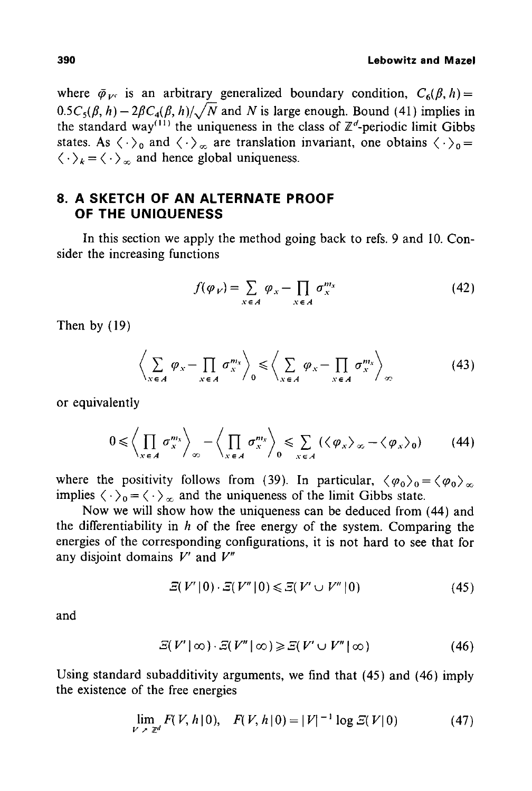where  $\bar{\varphi}_{Vc}$  is an arbitrary generalized boundary condition,  $C_6(\beta, h)$  =  $0.5C<sub>5</sub>(\beta, h)-2\beta C<sub>4</sub>(\beta, h)/\sqrt{N}$  and N is large enough. Bound (41) implies in the standard way<sup>(11)</sup> the uniqueness in the class of  $\mathbb{Z}^d$ -periodic limit Gibbs states. As  $\langle \cdot \rangle_0$  and  $\langle \cdot \rangle_\infty$  are translation invariant, one obtains  $\langle \cdot \rangle_0 =$  $\langle \cdot \rangle_k = \langle \cdot \rangle_{\infty}$  and hence global uniqueness.

# **8. A SKETCH OF AN ALTERNATE PROOF OF THE UNIQUENESS**

In this section we apply the method going back to refs. 9 and I0. Consider the increasing functions

$$
f(\varphi_V) = \sum_{x \in A} \varphi_x - \prod_{x \in A} \sigma_x^{m_x} \tag{42}
$$

Then by (19)

$$
\left\langle \sum_{x \in A} \varphi_x - \prod_{x \in A} \sigma_x^{m_x} \right\rangle_0 \le \left\langle \sum_{x \in A} \varphi_x - \prod_{x \in A} \sigma_x^{m_x} \right\rangle_{\infty} \tag{43}
$$

or equivalently

$$
0 \leqslant \left\langle \prod_{x \in A} \sigma_x^{m_x} \right\rangle_{\infty} - \left\langle \prod_{x \in A} \sigma_x^{m_x} \right\rangle_0 \leqslant \sum_{x \in A} \left( \left\langle \varphi_x \right\rangle_{\infty} - \left\langle \varphi_x \right\rangle_0 \right) \tag{44}
$$

where the positivity follows from (39). In particular,  $\langle \varphi_0 \rangle_0 = \langle \varphi_0 \rangle_{\infty}$ implies  $\langle \cdot \rangle_0 = \langle \cdot \rangle_{\infty}$  and the uniqueness of the limit Gibbs state.

Now we will show how the uniqueness can be deduced from (44) and the differentiability in  $h$  of the free energy of the system. Comparing the energies of the corresponding configurations, it is not hard to see that for any disjoint domains V' and *V"* 

$$
\varXi(V'|0) \cdot \varXi(V''|0) \leq \varXi(V' \cup V''|0) \tag{45}
$$

and

$$
\varXi(V' \mid \infty) \cdot \varXi(V'' \mid \infty) \geq \varXi(V' \cup V'' \mid \infty) \tag{46}
$$

Using standard subadditivity arguments, we find that (45) and (46) imply the existence of the free energies

$$
\lim_{V \to \mathbb{Z}^d} F(V, h|0), \quad F(V, h|0) = |V|^{-1} \log \mathcal{Z}(V|0) \tag{47}
$$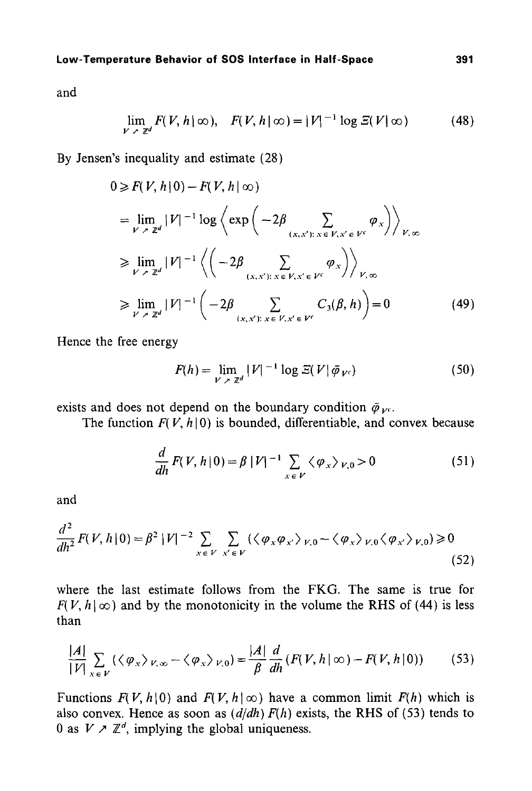and

$$
\lim_{V \to \mathbb{Z}^d} F(V, h \mid \infty), \quad F(V, h \mid \infty) = |V|^{-1} \log \mathcal{Z}(V \mid \infty) \tag{48}
$$

By Jensen's inequality and estimate (28)

$$
0 \ge F(V, h | 0) - F(V, h | \infty)
$$
  
\n
$$
= \lim_{V \to \mathbb{Z}^d} |V|^{-1} \log \left\langle \exp \left( -2\beta \sum_{(x, x') : x \in V, x' \in V^c} \varphi_x \right) \right\rangle_{V, \infty}
$$
  
\n
$$
\ge \lim_{V \to \mathbb{Z}^d} |V|^{-1} \left\langle \left( -2\beta \sum_{(x, x') : x \in V, x' \in V^c} \varphi_x \right) \right\rangle_{V, \infty}
$$
  
\n
$$
\ge \lim_{V \to \mathbb{Z}^d} |V|^{-1} \left( -2\beta \sum_{(x, x') : x \in V, x' \in V^c} C_3(\beta, h) \right) = 0
$$
(49)

Hence the free energy

$$
F(h) = \lim_{V \to \mathbb{Z}^d} |V|^{-1} \log \mathcal{Z}(V | \bar{\varphi}_{V^c})
$$
 (50)

exists and does not depend on the boundary condition  $\bar{\varphi}_{\nu}$ .

The function  $F(V, h | 0)$  is bounded, differentiable, and convex because

$$
\frac{d}{dh}F(V, h|0) = \beta |V|^{-1} \sum_{x \in V} \langle \varphi_x \rangle_{V,0} > 0
$$
\n(51)

and

$$
\frac{d^2}{dh^2} F(V, h | 0) = \beta^2 |V|^{-2} \sum_{x \in V} \sum_{x' \in V} (\langle \varphi_x \varphi_{x'} \rangle_{V,0} - \langle \varphi_x \rangle_{V,0} \langle \varphi_{x'} \rangle_{V,0}) \ge 0
$$
\n(52)

where the last estimate follows from the FKG. The same is true for  $F(V, h | \infty)$  and by the monotonicity in the volume the RHS of (44) is less than

$$
\frac{|A|}{|V|} \sum_{x \in V} (\langle \varphi_x \rangle_{V, \infty} - \langle \varphi_x \rangle_{V, 0}) = \frac{|A|}{\beta} \frac{d}{dh} (F(V, h \, | \, \infty) - F(V, h \, | \, 0)) \tag{53}
$$

Functions  $F(V, h | 0)$  and  $F(V, h | \infty)$  have a common limit  $F(h)$  which is also convex. Hence as soon as  $\left(\frac{d}{dh}\right) F(h)$  exists, the RHS of (53) tends to 0 as  $V \nearrow \mathbb{Z}^d$ , implying the global uniqueness.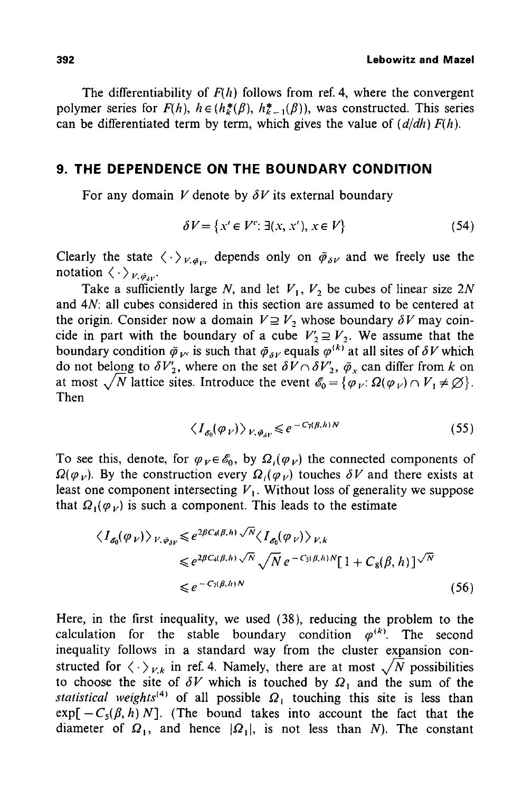The differentiability of  $F(h)$  follows from ref. 4, where the convergent polymer series for  $F(h)$ ,  $h \in (h^*_{k}(\beta), h^*_{k-1}(\beta))$ , was constructed. This series can be differentiated term by term, which gives the value of *(d/dh) F(h).* 

### **9. THE DEPENDENCE ON THE BOUNDARY CONDITION**

For any domain V denote by  $\delta V$  its external boundary

$$
\delta V = \{x' \in V^c : \exists (x, x'), x \in V\}
$$
\n
$$
(54)
$$

Clearly the state  $\langle \cdot \rangle_{V, \bar{\varphi}_{\nu c}}$  depends only on  $\bar{\varphi}_{\delta V}$  and we freely use the notation  $\langle \cdot \rangle_{V, \bar{\varphi}_{3V}}$ .

Take a sufficiently large N, and let  $V_1$ ,  $V_2$  be cubes of linear size 2N and 4N: all cubes considered in this section are assumed to be centered at the origin. Consider now a domain  $V \supseteq V_2$  whose boundary  $\delta V$  may coincide in part with the boundary of a cube  $V'_2 \supseteq V_2$ . We assume that the boundary condition  $\bar{\varphi}_{V^c}$  is such that  $\bar{\varphi}_{\delta V}$  equals  $\varphi^{(k)}$  at all sites of  $\delta V$  which do not belong to  $\delta V_2'$ , where on the set  $\delta V \cap \delta V_2'$ ,  $\bar{\varphi}_x$  can differ from k on at most  $\sqrt{N}$  lattice sites. Introduce the event  $\mathscr{E}_0 = {\varphi_V : \Omega(\varphi_V) \cap V_1 \neq \emptyset}.$ Then

$$
\langle I_{\mathcal{L}}(\varphi_V) \rangle_{V, \bar{\varphi}_W} \leq e^{-C_7(\beta, h)N} \tag{55}
$$

To see this, denote, for  $\varphi_V \in \mathscr{E}_0$ , by  $\Omega_i(\varphi_V)$  the connected components of  $\Omega(\varphi_{V})$ . By the construction every  $\Omega_{i}(\varphi_{V})$  touches  $\delta V$  and there exists at least one component intersecting  $V_1$ . Without loss of generality we suppose that  $\Omega_1(\varphi_V)$  is such a component. This leads to the estimate

$$
\langle I_{\mathcal{S}_0}(\varphi_V) \rangle_{V, \bar{\varphi}_{\delta V}} \leq e^{2\beta C_4(\beta, h)} \sqrt{N} \langle I_{\mathcal{S}_0}(\varphi_V) \rangle_{V, k}
$$
  

$$
\leq e^{2\beta C_4(\beta, h)} \sqrt{N} e^{-C_5(\beta, h)N} [1 + C_8(\beta, h)]^{\sqrt{N}}
$$
  

$$
\leq e^{-C_7(\beta, h)N}
$$
 (56)

Here, in the first inequality, we used (38), reducing the problem to the calculation for the stable boundary condition  $\varphi^{(k)}$ . The second inequality follows in a standard way from the cluster expansion constructed for  $\langle \cdot \rangle_{V,k}$  in ref. 4. Namely, there are at most  $\sqrt{N}$  possibilities to choose the site of  $\delta V$  which is touched by  $\Omega_1$  and the sum of the *statistical weights*<sup>(4)</sup> of all possible  $\Omega_1$  touching this site is less than  $exp[-C_s(\beta, h) N]$ . (The bound takes into account the fact that the diameter of  $\Omega_1$ , and hence  $|\Omega_1|$ , is not less than N). The constant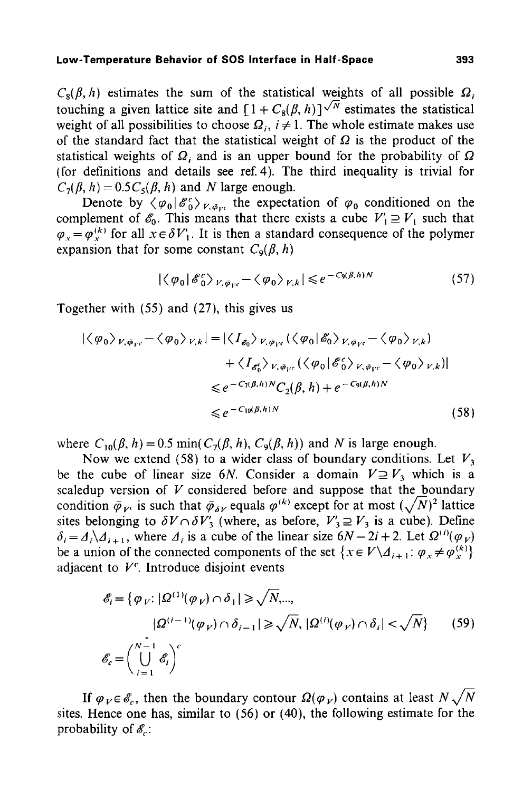$C_8(\beta, h)$  estimates the sum of the statistical weights of all possible  $\Omega_i$ touching a given lattice site and  $[1 + C_8(\beta, h)]^{\sqrt{N}}$  estimates the statistical weight of all possibilities to choose  $\Omega_i$ ,  $i \neq 1$ . The whole estimate makes use of the standard fact that the statistical weight of  $\Omega$  is the product of the statistical weights of  $\Omega_i$  and is an upper bound for the probability of  $\Omega$ (for definitions and details see ref. 4). The third inequality is trivial for  $C_7(\beta, h) = 0.5C_5(\beta, h)$  and N large enough.

Denote by  $\langle \varphi_0 | \mathcal{E}_0^c \rangle_{V, \bar{\varphi}_{\text{rec}}}$  the expectation of  $\varphi_0$  conditioned on the complement of  $\mathscr{E}_0$ . This means that there exists a cube  $V'_1 \supseteq V_t$  such that  $\varphi_x = \varphi_x^{(k)}$  for all  $x \in \delta V'_1$ . It is then a standard consequence of the polymer expansion that for some constant  $C_9(\beta, h)$ 

$$
|\langle \varphi_0 | \mathcal{E}_0^c \rangle_{V, \bar{\varphi}_{Vc}} - \langle \varphi_0 \rangle_{V,k} | \leq e^{-C_9(\beta, h)N} \tag{57}
$$

Together with (55) and (27), this gives us

$$
|\langle \varphi_0 \rangle_{V, \bar{\varphi}_{V^c}} - \langle \varphi_0 \rangle_{V, k}| = |\langle I_{\delta_0} \rangle_{V, \bar{\varphi}_{V^c}} (\langle \varphi_0 | \delta_0 \rangle_{V, \bar{\varphi}_{V^c}} - \langle \varphi_0 \rangle_{V, k}) + \langle I_{\delta_0^c} \rangle_{V, \bar{\varphi}_{V^c}} (\langle \varphi_0 | \delta_0^c \rangle_{V, \bar{\varphi}_{V^c}} - \langle \varphi_0 \rangle_{V, k})| \n\le e^{-C_1(\beta, h)N} C_2(\beta, h) + e^{-C_3(\beta, h)N} \n\le e^{-C_{10}(\beta, h)N}
$$
\n(58)

where  $C_{10}(\beta, h) = 0.5 \min(C_7(\beta, h), C_9(\beta, h))$  and N is large enough.

Now we extend (58) to a wider class of boundary conditions. Let  $V_3$ be the cube of linear size 6N. Consider a domain  $V \supseteq V_3$  which is a scaledup version of  $V$  considered before and suppose that the boundary condition  $\bar{\varphi}_{V^c}$  is such that  $\bar{\varphi}_{\delta V}$  equals  $\varphi^{(k)}$  except for at most  $(\sqrt{N})^2$  lattice sites belonging to  $\delta V \cap \delta V'_3$  (where, as before,  $V'_3 \supseteq V_3$  is a cube). Define  $\delta_i = \Delta_i \Delta_{i+1}$ , where  $\Delta_i$  is a cube of the linear size  $6N-2i+2$ . Let  $\Omega^{(i)}(\varphi_V)$ be a union of the connected components of the set  $\{x \in V \setminus \Delta_{i+1}: \varphi_x \neq \varphi_x^{(k)}\}$ adjacent to *V".* Introduce disjoint events

$$
\mathcal{E}_i = \{ \varphi_V : |\Omega^{(1)}(\varphi_V) \cap \delta_1| \ge \sqrt{N}, \dots, \\
|\Omega^{(i-1)}(\varphi_V) \cap \delta_{i-1}| \ge \sqrt{N}, |\Omega^{(i)}(\varphi_V) \cap \delta_i| < \sqrt{N} \} \tag{59}
$$
\n
$$
\mathcal{E}_c = \left( \bigcup_{i=1}^{N-1} \mathcal{E}_i \right)^c
$$

If  $\varphi_V \in \mathscr{E}_r$ , then the boundary contour  $\Omega(\varphi_V)$  contains at least  $N\sqrt{N}$ sites. Hence one has, similar to (56) or (40), the following estimate for the probability of  $\mathscr{E}_c$ :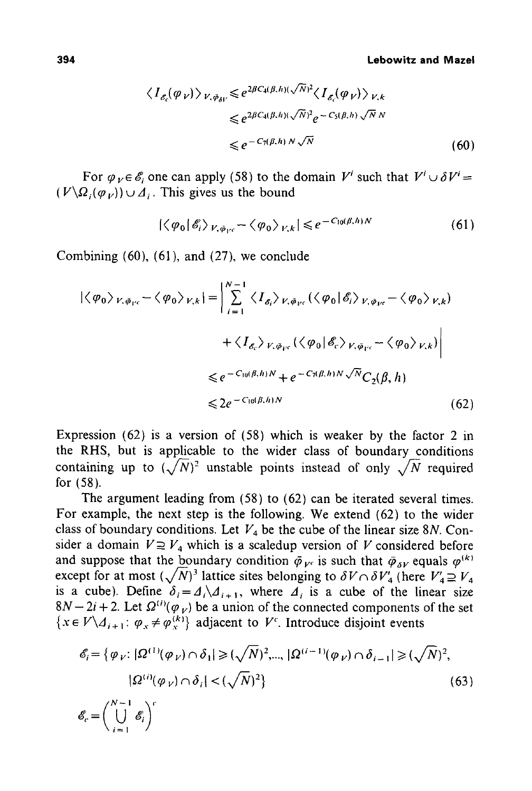$$
\langle I_{\mathcal{E}_c}(\varphi_V) \rangle_{V, \bar{\varphi}_{\delta V}} \leq e^{2\beta C_4(\beta, h)(\sqrt{N})^2} \langle I_{\mathcal{E}_c}(\varphi_V) \rangle_{V, k}
$$
  

$$
\leq e^{2\beta C_4(\beta, h)(\sqrt{N})^2} e^{-C_5(\beta, h)} \sqrt{N} N
$$
  

$$
\leq e^{-C_7(\beta, h) N} \sqrt{N}
$$
 (60)

For  $\varphi_V \in \mathscr{E}_i$  one can apply (58) to the domain  $V^i$  such that  $V^i \cup \delta V^i$  $(V\backslash\Omega_i(\varphi_V))\cup\Delta_i$ . This gives us the bound

$$
|\langle \varphi_0 | \mathscr{E}_i \rangle_{V, \tilde{\varphi}_{V^c}} - \langle \varphi_0 \rangle_{V, k}| \leq e^{-C_{10}(\beta, h)N}
$$
 (61)

Combining (60), (61), and (27), we conclude

$$
|\langle \varphi_0 \rangle_{V, \bar{\varphi}_{V^c}} - \langle \varphi_0 \rangle_{V, k}| = \left| \sum_{i=1}^{N-1} \langle I_{\delta_i} \rangle_{V, \bar{\varphi}_{V^c}} (\langle \varphi_0 | \hat{\mathscr{E}}_i \rangle_{V, \bar{\varphi}_{V^c}} - \langle \varphi_0 \rangle_{V, k}) + \langle I_{\delta_c} \rangle_{V, \bar{\varphi}_{V^c}} (\langle \varphi_0 | \hat{\mathscr{E}}_c \rangle_{V, \bar{\varphi}_{V^c}} - \langle \varphi_0 \rangle_{V, k}) \right|
$$
  

$$
\leq e^{-C_{10}(\beta, h)N} + e^{-C_{1}(\beta, h)N} \sqrt{N} C_2(\beta, h)
$$
  

$$
\leq 2e^{-C_{10}(\beta, h)N}
$$
 (62)

Expression (62) is a version of (58) which is weaker by the factor 2 in the RHS, but is applicable to the wider class of boundary conditions containing up to  $(\sqrt{N})^2$  unstable points instead of only  $\sqrt{N}$  required for (58).

The argument leading from (58) to (62) can be iterated several times. For example, the next step is the following. We extend (62) to the wider class of boundary conditions. Let  $V_4$  be the cube of the linear size 8N. Consider a domain  $V \supseteq V_4$  which is a scaledup version of V considered before and suppose that the boundary condition  $\bar{\varphi}_{V^c}$  is such that  $\bar{\varphi}_{\delta V}$  equals  $\varphi^{(k)}$ except for at most  $(\sqrt{N})^3$  lattice sites belonging to  $\delta V \cap \delta V'_4$  (here  $V'_4 \supseteq V_4$ is a cube). Define  $\delta_i = A_i \setminus A_{i+1}$ , where  $A_i$  is a cube of the linear size  $8N-2i + 2$ . Let  $\Omega^{(i)}(\varphi_V)$  be a union of the connected components of the set  ${x \in V \setminus \Lambda_{i+1}: \varphi_x \neq \varphi_x^{(k)}}$  adjacent to *V<sup>c</sup>*. Introduce disjoint events

$$
\mathcal{E}_i = \{ \varphi_V : |\Omega^{(1)}(\varphi_V) \cap \delta_1| \ge (\sqrt{N})^2, \dots, |\Omega^{(i-1)}(\varphi_V) \cap \delta_{i-1}| \ge (\sqrt{N})^2, \dots, |\Omega^{(i)}(\varphi_V) \cap \delta_i| < (\sqrt{N})^2 \}
$$
\n
$$
\mathcal{E}_c = \left(\bigcup_{i=1}^{N-1} \mathcal{E}_i\right)^c \tag{63}
$$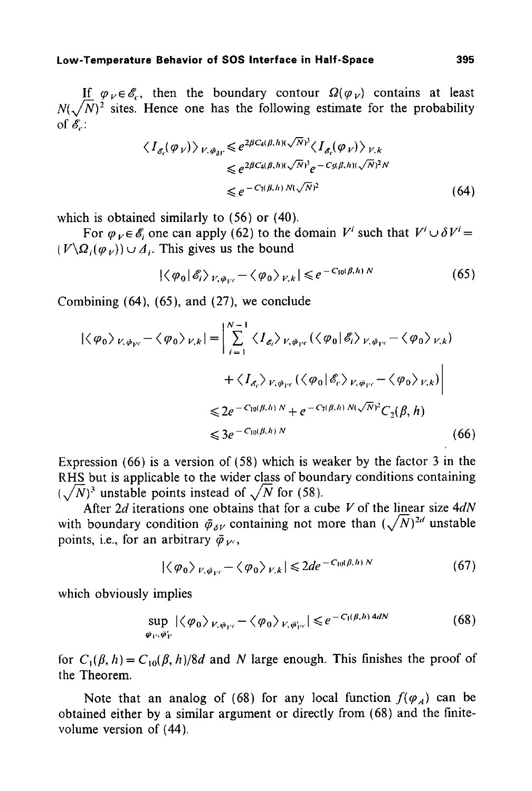If  $\varphi_V \in \mathscr{E}_c$ , then the boundary contour  $\Omega(\varphi_V)$  contains at least  $N(\sqrt{N})^2$  sites. Hence one has the following estimate for the probability of  $\mathscr{E}$ :

$$
\langle I_{\delta_c}(\varphi_V) \rangle_{V, \bar{\varphi}_{\delta V}} \leq e^{2\beta C_4(\beta, h)(\sqrt{N})^3} \langle I_{\delta_c}(\varphi_V) \rangle_{V, k}
$$
  

$$
\leq e^{2\beta C_4(\beta, h)(\sqrt{N})^3} e^{-C_5(\beta, h)(\sqrt{N})^2 N}
$$
  

$$
\leq e^{-C_7(\beta, h) N(\sqrt{N})^2}
$$
 (64)

which is obtained similarly to (56) or (40).

For  $\varphi_V \in \mathscr{E}$ , one can apply (62) to the domain *V'* such that  $V' \cup \delta V' =$  $(V\backslash \Omega_i(\varphi_V)) \cup A_i$ . This gives us the bound

$$
|\langle \varphi_0 | \mathcal{E}_i \rangle_{V, \bar{\varphi}_{V^c}} - \langle \varphi_0 \rangle_{V, k}| \leq e^{-C_{10}(\beta, h) N}
$$
 (65)

Combining (64), (65), and (27), we conclude

$$
|\langle \varphi_0 \rangle_{V, \bar{\varphi}_{V^c}} - \langle \varphi_0 \rangle_{V, k}| = \left| \sum_{i=1}^{N-1} \langle I_{\mathcal{E}_i} \rangle_{V, \bar{\varphi}_{V^c}} (\langle \varphi_0 | \mathcal{E}_i \rangle_{V, \bar{\varphi}_{V^c}} - \langle \varphi_0 \rangle_{V, k}) + \langle I_{\mathcal{E}_c} \rangle_{V, \bar{\varphi}_{V^c}} (\langle \varphi_0 | \mathcal{E}_c \rangle_{V, \bar{\varphi}_{V^c}} - \langle \varphi_0 \rangle_{V, k}) \right|
$$
  

$$
\leq 2e^{-C_{10}(\beta, h) N} + e^{-C_{1}(\beta, h) N(\sqrt{N})^2} C_{2}(\beta, h)
$$
  

$$
\leq 3e^{-C_{10}(\beta, h) N}
$$
 (66)

Expression (66) is a version of (58) which is weaker by the factor 3 in the RHS but is applicable to the wider class of boundary conditions containing  $(\sqrt{N})^3$  unstable points instead of  $\sqrt{N}$  for (58).

After 2d iterations one obtains that for a cube V of the linear size *4dN*  with boundary condition  $\bar{\varphi}_{\delta V}$  containing not more than  $(\sqrt{N})^{2d}$  unstable points, i.e., for an arbitrary  $\bar{\varphi}_{V^c}$ ,

$$
|\langle \varphi_0 \rangle_{V, \bar{\varphi}_{V^c}} - \langle \varphi_0 \rangle_{V, k}| \leq 2de^{-C_{10}(\beta, h)N}
$$
 (67)

which obviously implies

$$
\sup_{\bar{\varphi}_V, \bar{\varphi}'_V} |\langle \varphi_0 \rangle_{V, \bar{\varphi}_V} - \langle \varphi_0 \rangle_{V, \bar{\varphi}'_{V'}}| \leq e^{-C_1(\beta, h) 4dN} \tag{68}
$$

for  $C_1(\beta, h) = C_{10}(\beta, h)/8d$  and N large enough. This finishes the proof of the Theorem.

Note that an analog of (68) for any local function  $f(\varphi_A)$  can be obtained either by a similar argument or directly from (68) and the finitevolume version of (44).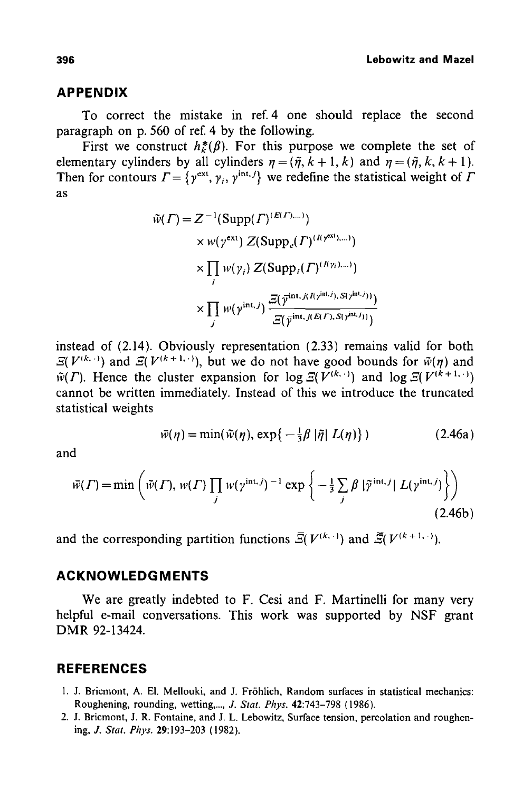#### **APPENDIX**

To correct the mistake in ref. 4 one should replace the second paragraph on p. 560 of ref. 4 by the following.

First we construct  $h^*_{\nu}(\beta)$ . For this purpose we complete the set of elementary cylinders by all cylinders  $\eta = (\tilde{\eta}, k + 1, k)$  and  $\eta = (\tilde{\eta}, k, k + 1)$ . Then for contours  $\Gamma = \{y^{\text{ext}}, \gamma_i, y^{\text{int.}}\}$  we redefine the statistical weight of  $\Gamma$ as

$$
\tilde{w}(\Gamma) = Z^{-1}(\text{Supp}(\Gamma)^{(E(\Gamma),\dots)})
$$
\n
$$
\times w(\gamma^{\text{ext}}) Z(\text{Supp}_{e}(\Gamma)^{(I(\gamma^{\text{ext}}),\dots)})
$$
\n
$$
\times \prod_{i} w(\gamma_{i}) Z(\text{Supp}_{i}(\Gamma)^{(I(\gamma_{i}),\dots)})
$$
\n
$$
\times \prod_{j} w(\gamma^{\text{int},j}) \frac{\Xi(\bar{\gamma}^{\text{int},j(\gamma^{\text{int},j)},S(\gamma^{\text{int},j}))}}{\Xi(\bar{\gamma}^{\text{int},j(E(\Gamma),S(\gamma^{\text{int},j}))})}
$$

instead of (2.14). Obviously representation (2.33) remains valid for both  $\mathcal{Z}(V^{(k,\cdot)})$  and  $\mathcal{Z}(V^{(k+1,\cdot)})$ , but we do not have good bounds for  $\tilde{w}(\eta)$  and  $\tilde{w}(\Gamma)$ . Hence the cluster expansion for log  $\mathcal{Z}(V^{(k,\cdot)})$  and log  $\mathcal{Z}(V^{(k+1,\cdot)})$ cannot be written immediately. Instead of this we introduce the truncated statistical weights

$$
\bar{w}(\eta) = \min(\tilde{w}(\eta), \exp\{-\frac{1}{3}\beta |\tilde{\eta}| L(\eta)\})
$$
 (2.46a)

and

$$
\bar{w}(\Gamma) = \min\left(\tilde{w}(\Gamma), w(\Gamma) \prod_{j} w(\gamma^{\text{int},j})^{-1} \exp\left\{-\frac{1}{3} \sum_{j} \beta |\tilde{\gamma}^{\text{int},j}| L(\gamma^{\text{int},j})\right\}\right)
$$
\n(2.46b)

and the corresponding partition functions  $\overline{S}(V^{(k,.)})$  and  $\overline{S}(V^{(k+1,.)})$ .

### **ACKNOWLE DG M ENTS**

We are greatly indebted to F. Cesi and F. Martinelli for many very helpful e-mail conversations. This work was supported by NSF grant DMR 92-13424.

### **REFERENCES**

- 1. J. Bricmont, A. El. Mellouki, and J. Fr6hlich, Random surfaces in statistical mechanics: Roughening, rounding, wetting *..... J. Stat. Phys.* 42:743-798 (1986).
- 2. J. Bricmont, J. R. Fontaine, and J. L. Lebowitz, Surface tension, percolation and roughening, J. *Stat. Phys.* 29:193-203 (1982).